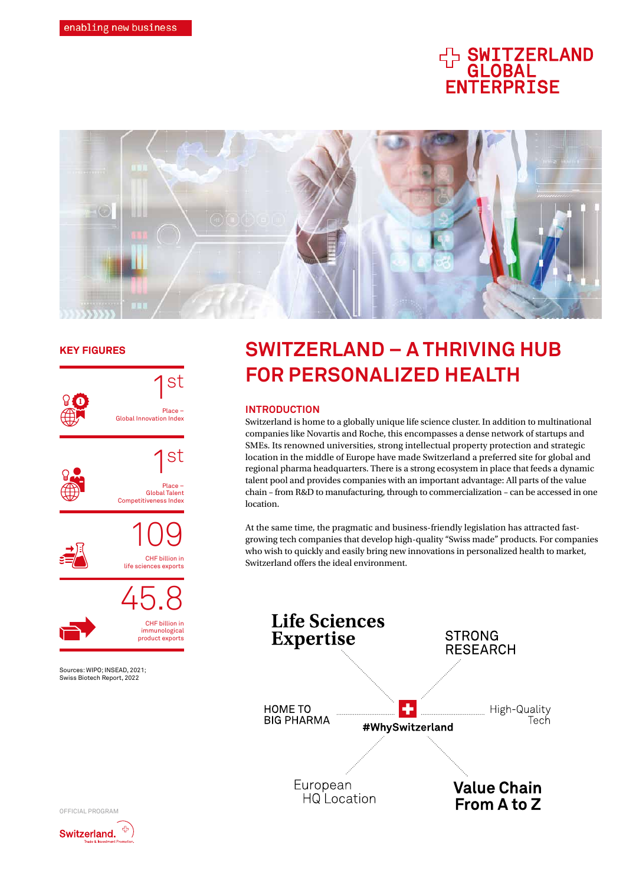# **HA SWITZERLAND<br>GLOBAL<br>ENTERPRISE**



# **KEY FIGURES**



# **SWITZERLAND – A THRIVING HUB FOR PERSONALIZED HEALTH**

# **INTRODUCTION**

Switzerland is home to a globally unique life science cluster. In addition to multinational companies like Novartis and Roche, this encompasses a dense network of startups and SMEs. Its renowned universities, strong intellectual property protection and strategic location in the middle of Europe have made Switzerland a preferred site for global and regional pharma headquarters. There is a strong ecosystem in place that feeds a dynamic talent pool and provides companies with an important advantage: All parts of the value chain – from R&D to manufacturing, through to commercialization – can be accessed in one location.

At the same time, the pragmatic and business-friendly legislation has attracted fastgrowing tech companies that develop high-quality "Swiss made" products. For companies who wish to quickly and easily bring new innovations in personalized health to market, Switzerland offers the ideal environment.



OFFICIAL PROGRAM

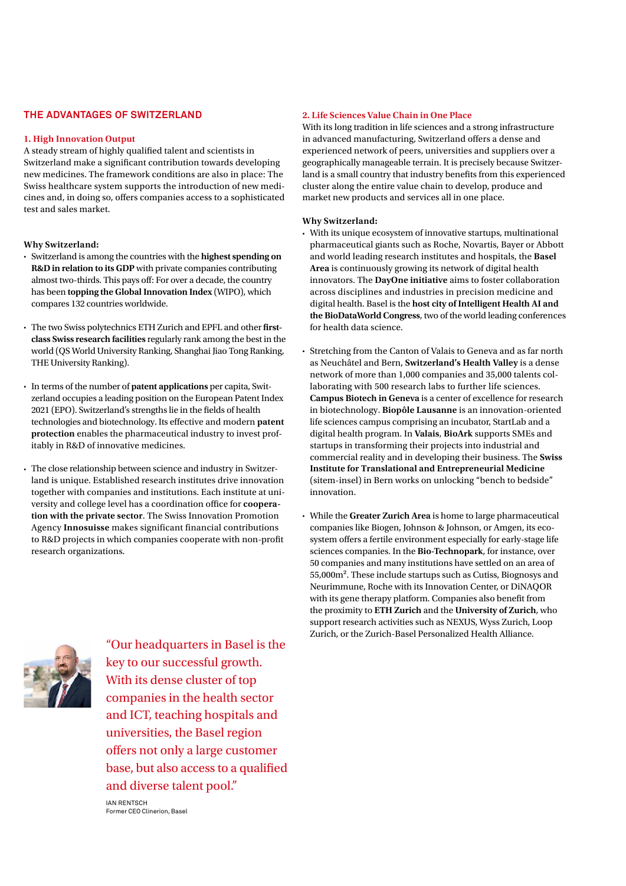### **THE ADVANTAGES OF SWITZERLAND**

#### **1. High Innovation Output**

A steady stream of highly qualified talent and scientists in Switzerland make a significant contribution towards developing new medicines. The framework conditions are also in place: The Swiss healthcare system supports the introduction of new medicines and, in doing so, offers companies access to a sophisticated test and sales market.

#### **Why Switzerland:**

- Switzerland is among the countries with the **highest spending on R&D in relation to its GDP** with private companies contributing almost two-thirds. This pays off: For over a decade, the country has been **topping the Global Innovation Index** (WIPO), which compares 132 countries worldwide.
- The two Swiss polytechnics ETH Zurich and EPFL and other **firstclass Swiss research facilities** regularly rank among the best in the world (QS World University Ranking, Shanghai Jiao Tong Ranking, THE University Ranking).
- In terms of the number of **patent applications** per capita, Switzerland occupies a leading position on the European Patent Index 2021 (EPO). Switzerland's strengths lie in the fields of health technologies and biotechnology. Its effective and modern **patent protection** enables the pharmaceutical industry to invest profitably in R&D of innovative medicines.
- The close relationship between science and industry in Switzerland is unique. Established research institutes drive innovation together with companies and institutions. Each institute at university and college level has a coordination office for **cooperation with the private sector**. The Swiss Innovation Promotion Agency **Innosuisse** makes significant financial contributions to R&D projects in which companies cooperate with non-profit research organizations.

#### **2. Life Sciences Value Chain in One Place**

With its long tradition in life sciences and a strong infrastructure in advanced manufacturing, Switzerland offers a dense and experienced network of peers, universities and suppliers over a geographically manageable terrain. It is precisely because Switzerland is a small country that industry benefits from this experienced cluster along the entire value chain to develop, produce and market new products and services all in one place.

#### **Why Switzerland:**

- With its unique ecosystem of innovative startups, multinational pharmaceutical giants such as Roche, Novartis, Bayer or Abbott and world leading research institutes and hospitals, the **Basel Area** is continuously growing its network of digital health innovators. The **DayOne initiative** aims to foster collaboration across disciplines and industries in precision medicine and digital health. Basel is the **host city of Intelligent Health AI and the BioDataWorld Congress**, two of the world leading conferences for health data science.
- Stretching from the Canton of Valais to Geneva and as far north as Neuchâtel and Bern, **Switzerland's Health Valley** is a dense network of more than 1,000 companies and 35,000 talents collaborating with 500 research labs to further life sciences. **Campus Biotech in Geneva** is a center of excellence for research in biotechnology. **Biopôle Lausanne** is an innovation-oriented life sciences campus comprising an incubator, StartLab and a digital health program. In **Valais**, **BioArk** supports SMEs and startups in transforming their projects into industrial and commercial reality and in developing their business. The **Swiss Institute for Translational and Entrepreneurial Medicine** (sitem-insel) in Bern works on unlocking "bench to bedside" innovation.
- While the **Greater Zurich Area** is home to large pharmaceutical companies like Biogen, Johnson & Johnson, or Amgen, its ecosystem offers a fertile environment especially for early-stage life sciences companies. In the **Bio-Technopark**, for instance, over 50 companies and many institutions have settled on an area of 55,000m². These include startups such as Cutiss, Biognosys and Neurimmune, Roche with its Innovation Center, or DiNAQOR with its gene therapy platform. Companies also benefit from the proximity to **ETH Zurich** and the **University of Zurich**, who support research activities such as NEXUS, Wyss Zurich, Loop Zurich, or the Zurich-Basel Personalized Health Alliance.



"Our headquarters in Basel is the key to our successful growth. With its dense cluster of top companies in the health sector and ICT, teaching hospitals and universities, the Basel region offers not only a large customer base, but also access to a qualified and diverse talent pool."

IAN RENTSCH Former CEO Clinerion, Basel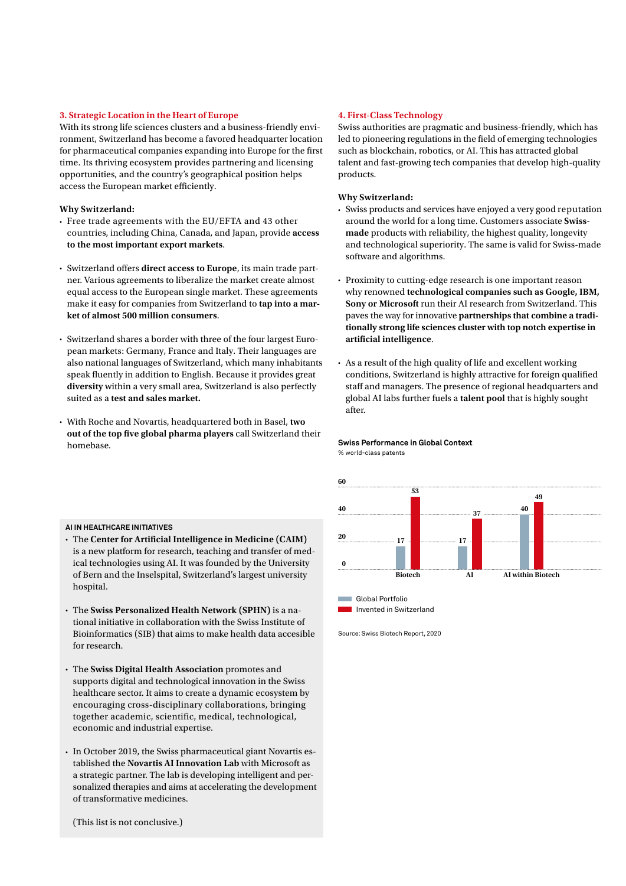#### **3. Strategic Location in the Heart of Europe**

With its strong life sciences clusters and a business-friendly environment, Switzerland has become a favored headquarter location for pharmaceutical companies expanding into Europe for the first time. Its thriving ecosystem provides partnering and licensing opportunities, and the country's geographical position helps access the European market efficiently.

#### **Why Switzerland:**

- Free trade agreements with the EU/EFTA and 43 other countries, including China, Canada, and Japan, provide **access to the most important export markets**.
- Switzerland offers **direct access to Europe**, its main trade partner. Various agreements to liberalize the market create almost equal access to the European single market. These agreements make it easy for companies from Switzerland to **tap into a market of almost 500 million consumers**.
- Switzerland shares a border with three of the four largest European markets: Germany, France and Italy. Their languages are also national languages of Switzerland, which many inhabitants speak fluently in addition to English. Because it provides great **diversity** within a very small area, Switzerland is also perfectly suited as a **test and sales market.**
- With Roche and Novartis, headquartered both in Basel, **two out of the top five global pharma players** call Switzerland their homebase.

#### **4. First-Class Technology**

Swiss authorities are pragmatic and business-friendly, which has led to pioneering regulations in the field of emerging technologies such as blockchain, robotics, or AI. This has attracted global talent and fast-growing tech companies that develop high-quality products.

#### **Why Switzerland:**

- Swiss products and services have enjoyed a very good reputation around the world for a long time. Customers associate **Swissmade** products with reliability, the highest quality, longevity and technological superiority. The same is valid for Swiss-made software and algorithms.
- Proximity to cutting-edge research is one important reason why renowned **technological companies such as Google, IBM, Sony or Microsoft** run their AI research from Switzerland. This paves the way for innovative **partnerships that combine a traditionally strong life sciences cluster with top notch expertise in artificial intelligence**.
- As a result of the high quality of life and excellent working conditions, Switzerland is highly attractive for foreign qualified staff and managers. The presence of regional headquarters and global AI labs further fuels a **talent pool** that is highly sought after.



**AI IN HEALTHCARE INITIATIVES** 

- The **Center for Artificial Intelligence in Medicine (CAIM)** is a new platform for research, teaching and transfer of medical technologies using AI. It was founded by the University of Bern and the Inselspital, Switzerland's largest university hospital.
- The **Swiss Personalized Health Network (SPHN)** is a national initiative in collaboration with the Swiss Institute of Bioinformatics (SIB) that aims to make health data accesible for research.
- The **Swiss Digital Health Association** promotes and supports digital and technological innovation in the Swiss healthcare sector. It aims to create a dynamic ecosystem by encouraging cross-disciplinary collaborations, bringing together academic, scientific, medical, technological, economic and industrial expertise.
- In October 2019, the Swiss pharmaceutical giant Novartis established the **Novartis AI Innovation Lab** with Microsoft as a strategic partner. The lab is developing intelligent and personalized therapies and aims at accelerating the development of transformative medicines.

Source: Swiss Biotech Report, 2020

**Swiss Performance in Global Context**

% world-class patents

(This list is not conclusive.)